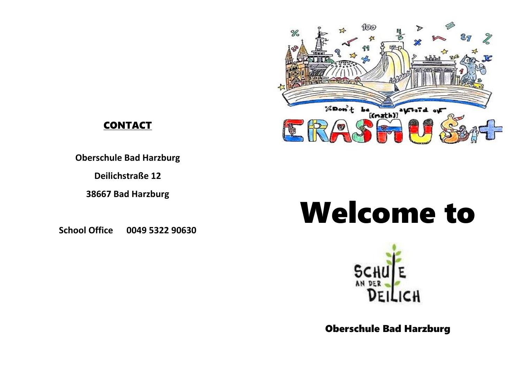

## **CONTACT**

**Oberschule Bad Harzburg**

**Deilichstraße 12**

**38667 Bad Harzburg**

**School Office 0049 5322 90630**

## Welcome to



Oberschule Bad Harzburg